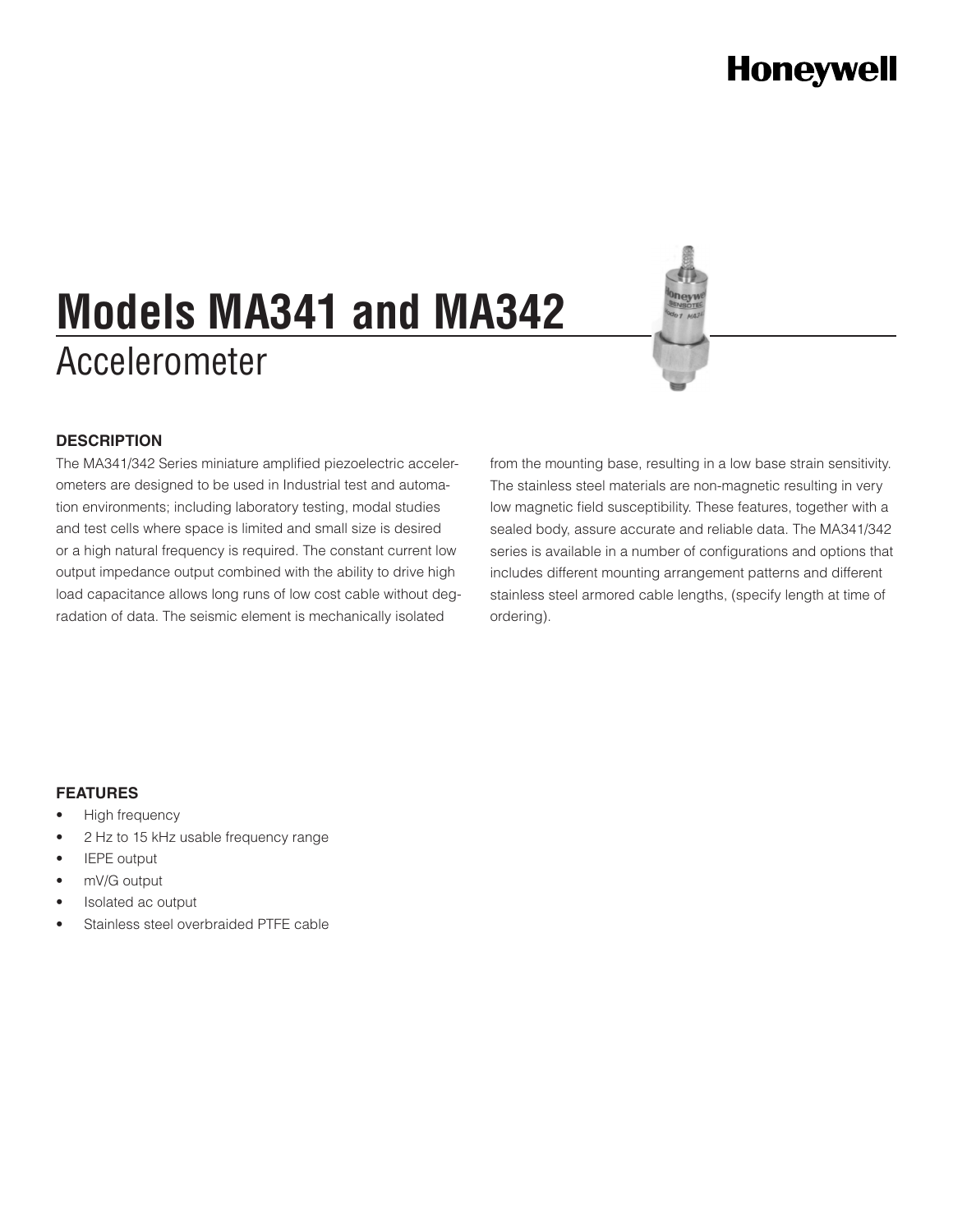# **Honeywell**

# Accelerometer **Models MA341 and MA342**



#### **DESCRIPTION**

The MA341/342 Series miniature amplified piezoelectric accelerometers are designed to be used in Industrial test and automation environments; including laboratory testing, modal studies and test cells where space is limited and small size is desired or a high natural frequency is required. The constant current low output impedance output combined with the ability to drive high load capacitance allows long runs of low cost cable without degradation of data. The seismic element is mechanically isolated

from the mounting base, resulting in a low base strain sensitivity. The stainless steel materials are non-magnetic resulting in very low magnetic field susceptibility. These features, together with a sealed body, assure accurate and reliable data. The MA341/342 series is available in a number of configurations and options that includes different mounting arrangement patterns and different stainless steel armored cable lengths, (specify length at time of ordering).

#### **FEATURES**

- High frequency
- 2 Hz to 15 kHz usable frequency range
- **IEPE** output
- mV/G output
- Isolated ac output
- Stainless steel overbraided PTFE cable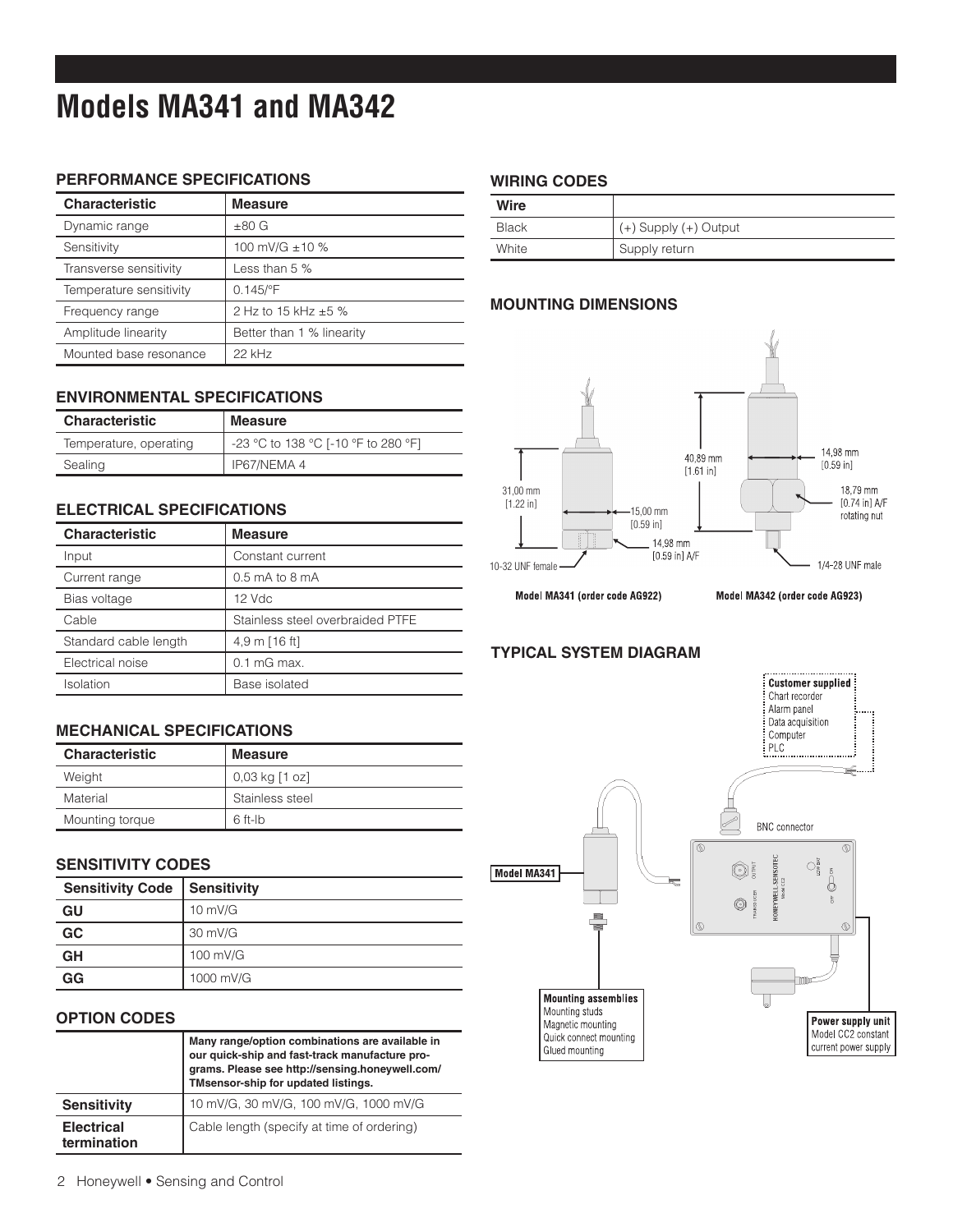## **Models MA341 and MA342**

#### **PERFORMANCE SPECIFICATIONS**

| <b>Characteristic</b>   | <b>Measure</b>            |
|-------------------------|---------------------------|
| Dynamic range           | $±80$ G                   |
| Sensitivity             | 100 mV/G ±10 %            |
| Transverse sensitivity  | Less than $5%$            |
| Temperature sensitivity | $0.145$ /°F               |
| Frequency range         | 2 Hz to 15 kHz ±5 %       |
| Amplitude linearity     | Better than 1 % linearity |
| Mounted base resonance  | $22$ kHz                  |

#### **ENVIRONMENTAL SPECIFICATIONS**

| <b>Characteristic</b>  | <b>Measure</b>                      |
|------------------------|-------------------------------------|
| Temperature, operating | -23 °C to 138 °C [-10 °F to 280 °F] |
| Sealing                | IP67/NEMA 4                         |

#### **ELECTRICAL SPECIFICATIONS**

| <b>Characteristic</b> | <b>Measure</b>                   |
|-----------------------|----------------------------------|
| Input                 | Constant current                 |
| Current range         | $0.5$ mA to 8 mA                 |
| Bias voltage          | $12$ Vdc                         |
| Cable                 | Stainless steel overbraided PTFE |
| Standard cable length | 4,9 m [16 ft]                    |
| Electrical noise      | $0.1 \text{ mG}$ max.            |
| Isolation             | Base isolated                    |

#### **MECHANICAL SPECIFICATIONS**

| <b>Characteristic</b> | <b>Measure</b>        |
|-----------------------|-----------------------|
| Weight                | $0.03$ kg $[1$ oz $]$ |
| Material              | Stainless steel       |
| Mounting torque       | $6$ ft-lb             |

#### **SENSITIVITY CODES**

| <b>Sensitivity Code</b> | Sensitivity       |
|-------------------------|-------------------|
| GU                      | $10 \text{ mV/G}$ |
| GC                      | 30 mV/G           |
| GH                      | 100 mV/G          |
| GG                      | 1000 mV/G         |

#### **OPTION CODES**

|                                  | Many range/option combinations are available in<br>our quick-ship and fast-track manufacture pro-<br>grams. Please see http://sensing.honeywell.com/<br>TMsensor-ship for updated listings. |
|----------------------------------|---------------------------------------------------------------------------------------------------------------------------------------------------------------------------------------------|
| <b>Sensitivity</b>               | 10 mV/G, 30 mV/G, 100 mV/G, 1000 mV/G                                                                                                                                                       |
| <b>Electrical</b><br>termination | Cable length (specify at time of ordering)                                                                                                                                                  |

#### **WIRING CODES**

| Wire         |                       |
|--------------|-----------------------|
| <b>Black</b> | (+) Supply (+) Output |
| White        | Supply return         |

#### **MOUNTING DIMENSIONS**



Model MA341 (order code AG922)

Model MA342 (order code AG923)

#### **TYPICAL SYSTEM DIAGRAM**